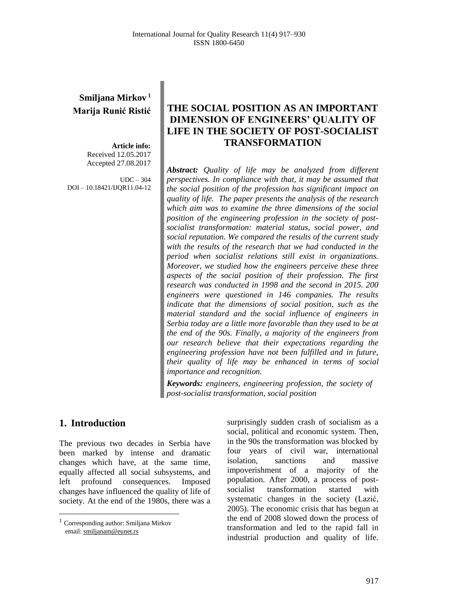# **Smiljana Mirkov <sup>1</sup> Marija Runić Ristić**

**Article info:** Received 12.05.2017 Accepted 27.08.2017

 $IDC = 304$ DOI – 10.18421/IJQR11.04-12

# **THE SOCIAL POSITION AS AN IMPORTANT DIMENSION OF ENGINEERS' QUALITY OF LIFE IN THE SOCIETY OF POST-SOCIALIST TRANSFORMATION**

*Abstract: Quality of life may be analyzed from different perspectives. In compliance with that, it may be assumed that the social position of the profession has significant impact on quality of life. The paper presents the analysis of the research which aim was to examine the three dimensions of the social position of the engineering profession in the society of postsocialist transformation: material status, social power, and social reputation. We compared the results of the current study with the results of the research that we had conducted in the period when socialist relations still exist in organizations. Moreover, we studied how the engineers perceive these three aspects of the social position of their profession. The first research was conducted in 1998 and the second in 2015. 200 engineers were questioned in 146 companies. The results indicate that the dimensions of social position, such as the material standard and the social influence of engineers in Serbia today are a little more favorable than they used to be at the end of the 90s. Finally, a majority of the engineers from our research believe that their expectations regarding the engineering profession have not been fulfilled and in future, their quality of life may be enhanced in terms of social importance and recognition.*

*Keywords: engineers, engineering profession, the society of post-socialist transformation, social position*

## **1. Introduction<sup>1</sup>**

 $\overline{a}$ 

The previous two decades in Serbia have been marked by intense and dramatic changes which have, at the same time, equally affected all social subsystems, and left profound consequences. Imposed changes have influenced the quality of life of society. At the end of the 1980s, there was a

surprisingly sudden crash of socialism as a social, political and economic system. Then, in the 90s the transformation was blocked by four years of civil war, international isolation, sanctions and massive impoverishment of a majority of the population. After 2000, a process of postsocialist transformation started with systematic changes in the society (Lazić, 2005). The economic crisis that has begun at the end of 2008 slowed down the process of transformation and led to the rapid fall in industrial production and quality of life.

<sup>1</sup> Corresponding author: Smiljana Mirkov email[: smiljanam@eunet.rs](mailto:smiljanam@eunet.rs)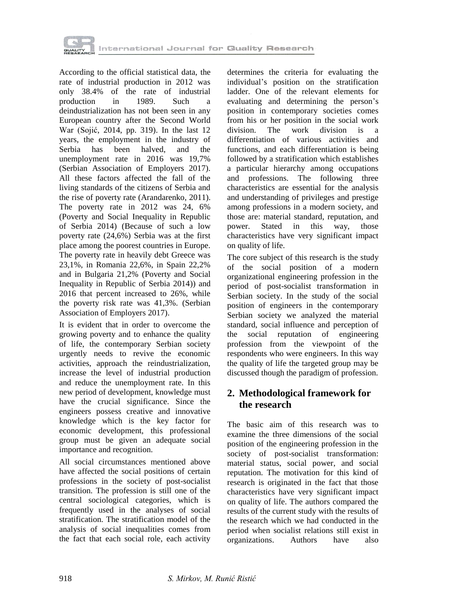

According to the official statistical data, the rate of industrial production in 2012 was only 38.4% of the rate of industrial production in 1989. Such a deindustrialization has not been seen in any European country after the Second World War (Sojić, 2014, pp. 319). In the last 12 years, the employment in the industry of Serbia has been halved, and the unemployment rate in 2016 was 19,7% (Serbian Association of Employers 2017). All these factors affected the fall of the living standards of the citizens of Serbia and the rise of poverty rate (Arandarenko, 2011). The poverty rate in 2012 was 24, 6% (Poverty and Social Inequality in Republic of Serbia 2014) (Because of such a low poverty rate (24,6%) Serbia was at the first place among the poorest countries in Europe. The poverty rate in heavily debt Greece was 23,1%, in Romania 22,6%, in Spain 22,2% and in Bulgaria 21,2% (Poverty and Social Inequality in Republic of Serbia 2014)) and 2016 that percent increased to 26%, while the poverty risk rate was 41,3%. (Serbian Association of Employers 2017).

It is evident that in order to overcome the growing poverty and to enhance the quality of life, the contemporary Serbian society urgently needs to revive the economic activities, approach the reindustrialization, increase the level of industrial production and reduce the unemployment rate. In this new period of development, knowledge must have the crucial significance. Since the engineers possess creative and innovative knowledge which is the key factor for economic development, this professional group must be given an adequate social importance and recognition.

All social circumstances mentioned above have affected the social positions of certain professions in the society of post-socialist transition. The profession is still one of the central sociological categories, which is frequently used in the analyses of social stratification. The stratification model of the analysis of social inequalities comes from the fact that each social role, each activity

determines the criteria for evaluating the individual's position on the stratification ladder. One of the relevant elements for evaluating and determining the person's position in contemporary societies comes from his or her position in the social work division. The work division is a differentiation of various activities and functions, and each differentiation is being followed by a stratification which establishes a particular hierarchy among occupations and professions. The following three characteristics are essential for the analysis and understanding of privileges and prestige among professions in a modern society, and those are: material standard, reputation, and<br>power. Stated in this way, those power. Stated in this way, those characteristics have very significant impact on quality of life.

The core subject of this research is the study of the social position of a modern organizational engineering profession in the period of post-socialist transformation in Serbian society. In the study of the social position of engineers in the contemporary Serbian society we analyzed the material standard, social influence and perception of the social reputation of engineering profession from the viewpoint of the respondents who were engineers. In this way the quality of life the targeted group may be discussed though the paradigm of profession.

## **2. Methodological framework for the research**

The basic aim of this research was to examine the three dimensions of the social position of the engineering profession in the society of post-socialist transformation: material status, social power, and social reputation. The motivation for this kind of research is originated in the fact that those characteristics have very significant impact on quality of life. The authors compared the results of the current study with the results of the research which we had conducted in the period when socialist relations still exist in organizations. Authors have also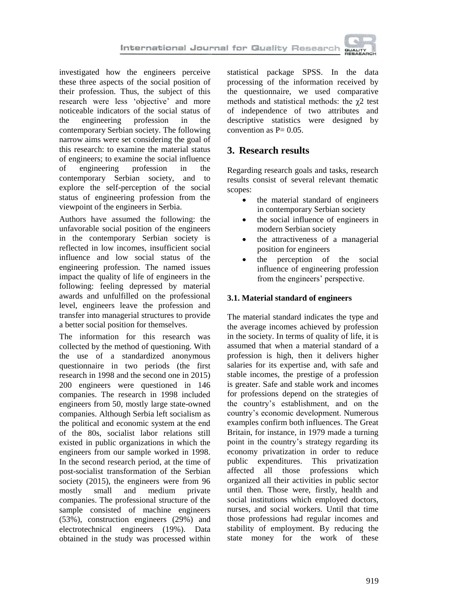

investigated how the engineers perceive these three aspects of the social position of their profession. Thus, the subject of this research were less 'objective' and more noticeable indicators of the social status of the engineering profession in the contemporary Serbian society. The following narrow aims were set considering the goal of this research: to examine the material status of engineers; to examine the social influence of engineering profession in the contemporary Serbian society, and to explore the self-perception of the social status of engineering profession from the viewpoint of the engineers in Serbia.

Authors have assumed the following: the unfavorable social position of the engineers in the contemporary Serbian society is reflected in low incomes, insufficient social influence and low social status of the engineering profession. The named issues impact the quality of life of engineers in the following: feeling depressed by material awards and unfulfilled on the professional level, engineers leave the profession and transfer into managerial structures to provide a better social position for themselves.

The information for this research was collected by the method of questioning. With the use of a standardized anonymous questionnaire in two periods (the first research in 1998 and the second one in 2015) 200 engineers were questioned in 146 companies. The research in 1998 included engineers from 50, mostly large state-owned companies. Although Serbia left socialism as the political and economic system at the end of the 80s, socialist labor relations still existed in public organizations in which the engineers from our sample worked in 1998. In the second research period, at the time of post-socialist transformation of the Serbian society (2015), the engineers were from 96 mostly small and medium private companies. The professional structure of the sample consisted of machine engineers (53%), construction engineers (29%) and electrotechnical engineers (19%). Data obtained in the study was processed within

statistical package SPSS. In the data processing of the information received by the questionnaire, we used comparative methods and statistical methods: the  $\gamma$ 2 test of independence of two attributes and descriptive statistics were designed by convention as  $P = 0.05$ .

# **3. Research results**

Regarding research goals and tasks, research results consist of several relevant thematic scopes:

- the material standard of engineers in contemporary Serbian society
- the social influence of engineers in modern Serbian society
- the attractiveness of a managerial position for engineers
- the perception of the social influence of engineering profession from the engineers' perspective.

### **3.1. Material standard of engineers**

The material standard indicates the type and the average incomes achieved by profession in the society. In terms of quality of life, it is assumed that when a material standard of a profession is high, then it delivers higher salaries for its expertise and, with safe and stable incomes, the prestige of a profession is greater. Safe and stable work and incomes for professions depend on the strategies of the country's establishment, and on the country's economic development. Numerous examples confirm both influences. The Great Britain, for instance, in 1979 made a turning point in the country's strategy regarding its economy privatization in order to reduce public expenditures. This privatization affected all those professions which organized all their activities in public sector until then. Those were, firstly, health and social institutions which employed doctors, nurses, and social workers. Until that time those professions had regular incomes and stability of employment. By reducing the state money for the work of these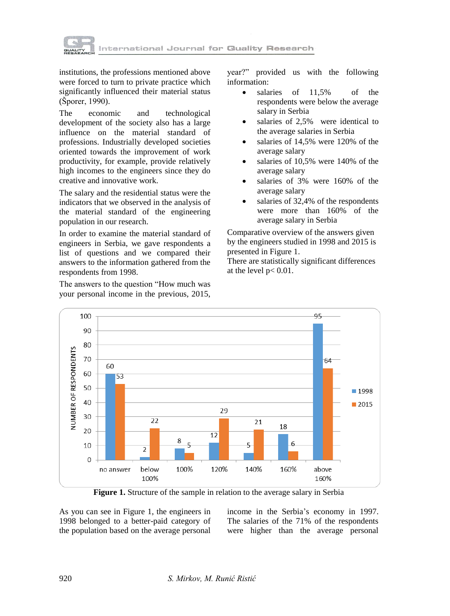

institutions, the professions mentioned above were forced to turn to private practice which significantly influenced their material status (Šporer, 1990).

The economic and technological development of the society also has a large influence on the material standard of professions. Industrially developed societies oriented towards the improvement of work productivity, for example, provide relatively high incomes to the engineers since they do creative and innovative work.

The salary and the residential status were the indicators that we observed in the analysis of the material standard of the engineering population in our research.

In order to examine the material standard of engineers in Serbia, we gave respondents a list of questions and we compared their answers to the information gathered from the respondents from 1998.

The answers to the question "How much was your personal income in the previous, 2015,

year?" provided us with the following information:

- salaries of 11,5% of the respondents were below the average salary in Serbia
- salaries of 2,5% were identical to the average salaries in Serbia
- salaries of 14,5% were 120% of the average salary
- salaries of 10,5% were 140% of the average salary
- salaries of 3% were 160% of the average salary
- salaries of 32,4% of the respondents were more than 160% of the average salary in Serbia

Comparative overview of the answers given by the engineers studied in 1998 and 2015 is presented in Figure 1.

There are statistically significant differences at the level  $p < 0.01$ .



**Figure 1.** Structure of the sample in relation to the average salary in Serbia

As you can see in Figure 1, the engineers in 1998 belonged to a better-paid category of the population based on the average personal income in the Serbia's economy in 1997. The salaries of the 71% of the respondents were higher than the average personal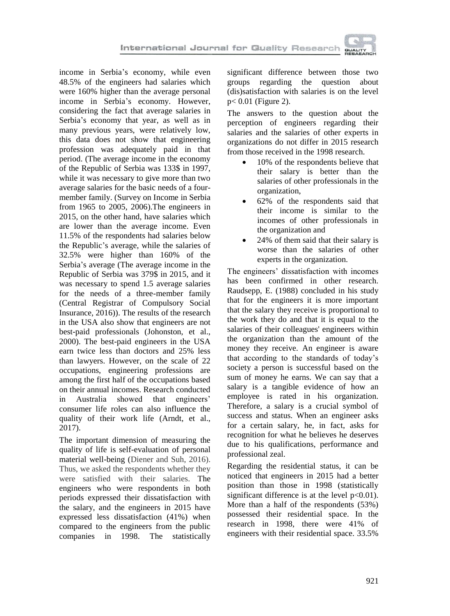

income in Serbia's economy, while even 48.5% of the engineers had salaries which were 160% higher than the average personal income in Serbia's economy. However, considering the fact that average salaries in Serbia's economy that year, as well as in many previous years, were relatively low, this data does not show that engineering profession was adequately paid in that period. (The average income in the economy of the Republic of Serbia was 133\$ in 1997, while it was necessary to give more than two average salaries for the basic needs of a fourmember family. (Survey on Income in Serbia from 1965 to 2005, 2006).The engineers in 2015, on the other hand, have salaries which are lower than the average income. Even 11.5% of the respondents had salaries below the Republic's average, while the salaries of 32.5% were higher than 160% of the Serbia's average (The average income in the Republic of Serbia was 379\$ in 2015, and it was necessary to spend 1.5 average salaries for the needs of a three-member family (Central Registrar of Compulsory Social Insurance, 2016)). The results of the research in the USA also show that engineers are not best-paid professionals (Johonston, et al., 2000). The best-paid engineers in the USA earn twice less than doctors and 25% less than lawyers. However, on the scale of 22 occupations, engineering professions are among the first half of the occupations based on their annual incomes. Research conducted in Australia showed that engineers' consumer life roles can also influence the quality of their work life (Arndt, et al., 2017).

The important dimension of measuring the quality of life is self-evaluation of personal material well-being (Diener and Suh, 2016). Thus, we asked the respondents whether they were satisfied with their salaries. The engineers who were respondents in both periods expressed their dissatisfaction with the salary, and the engineers in 2015 have expressed less dissatisfaction (41%) when compared to the engineers from the public companies in 1998. The statistically

significant difference between those two groups regarding the question about (dis)satisfaction with salaries is on the level p< 0.01 (Figure 2).

The answers to the question about the perception of engineers regarding their salaries and the salaries of other experts in organizations do not differ in 2015 research from those received in the 1998 research.

- 10% of the respondents believe that their salary is better than the salaries of other professionals in the organization,
- 62% of the respondents said that their income is similar to the incomes of other professionals in the organization and
- 24% of them said that their salary is worse than the salaries of other experts in the organization.

The engineers' dissatisfaction with incomes has been confirmed in other research. Raudsepp, E. (1988) concluded in his study that for the engineers it is more important that the salary they receive is proportional to the work they do and that it is equal to the salaries of their colleagues' engineers within the organization than the amount of the money they receive. An engineer is aware that according to the standards of today's society a person is successful based on the sum of money he earns. We can say that a salary is a tangible evidence of how an employee is rated in his organization. Therefore, a salary is a crucial symbol of success and status. When an engineer asks for a certain salary, he, in fact, asks for recognition for what he believes he deserves due to his qualifications, performance and professional zeal.

Regarding the residential status, it can be noticed that engineers in 2015 had a better position than those in 1998 (statistically significant difference is at the level  $p<0.01$ ). More than a half of the respondents (53%) possessed their residential space. In the research in 1998, there were 41% of engineers with their residential space. 33.5%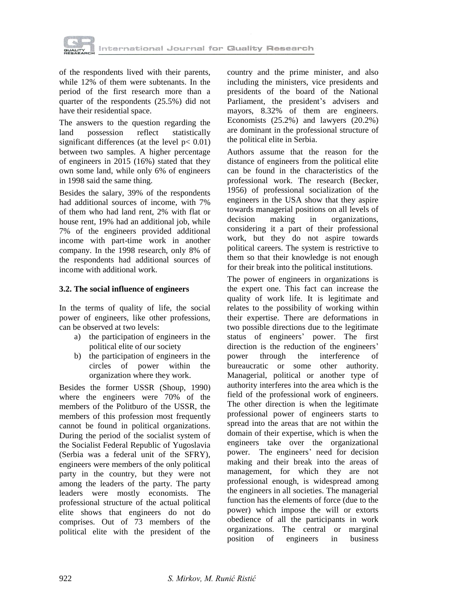

of the respondents lived with their parents, while 12% of them were subtenants. In the period of the first research more than a quarter of the respondents (25.5%) did not have their residential space.

The answers to the question regarding the land possession reflect statistically significant differences (at the level  $p < 0.01$ ) between two samples. A higher percentage of engineers in 2015 (16%) stated that they own some land, while only 6% of engineers in 1998 said the same thing.

Besides the salary, 39% of the respondents had additional sources of income, with 7% of them who had land rent, 2% with flat or house rent, 19% had an additional job, while 7% of the engineers provided additional income with part-time work in another company. In the 1998 research, only 8% of the respondents had additional sources of income with additional work.

#### **3.2. The social influence of engineers**

In the terms of quality of life, the social power of engineers, like other professions, can be observed at two levels:

- a) the participation of engineers in the political elite of our society
- b) the participation of engineers in the circles of power within the organization where they work.

Besides the former USSR (Shoup, 1990) where the engineers were 70% of the members of the Politburo of the USSR, the members of this profession most frequently cannot be found in political organizations. During the period of the socialist system of the Socialist Federal Republic of Yugoslavia (Serbia was a federal unit of the SFRY), engineers were members of the only political party in the country, but they were not among the leaders of the party. The party leaders were mostly economists. The professional structure of the actual political elite shows that engineers do not do comprises. Out of 73 members of the political elite with the president of the

country and the prime minister, and also including the ministers, vice presidents and presidents of the board of the National Parliament, the president's advisers and mayors, 8.32% of them are engineers. Economists (25.2%) and lawyers (20.2%) are dominant in the professional structure of the political elite in Serbia.

Authors assume that the reason for the distance of engineers from the political elite can be found in the characteristics of the professional work. The research (Becker, 1956) of professional socialization of the engineers in the USA show that they aspire towards managerial positions on all levels of decision making in organizations. considering it a part of their professional work, but they do not aspire towards political careers. The system is restrictive to them so that their knowledge is not enough for their break into the political institutions.

The power of engineers in organizations is the expert one. This fact can increase the quality of work life. It is legitimate and relates to the possibility of working within their expertise. There are deformations in two possible directions due to the legitimate status of engineers' power. The first direction is the reduction of the engineers' power through the interference of bureaucratic or some other authority. Managerial, political or another type of authority interferes into the area which is the field of the professional work of engineers. The other direction is when the legitimate professional power of engineers starts to spread into the areas that are not within the domain of their expertise, which is when the engineers take over the organizational power. The engineers' need for decision making and their break into the areas of management, for which they are not professional enough, is widespread among the engineers in all societies. The managerial function has the elements of force (due to the power) which impose the will or extorts obedience of all the participants in work organizations. The central or marginal position of engineers in business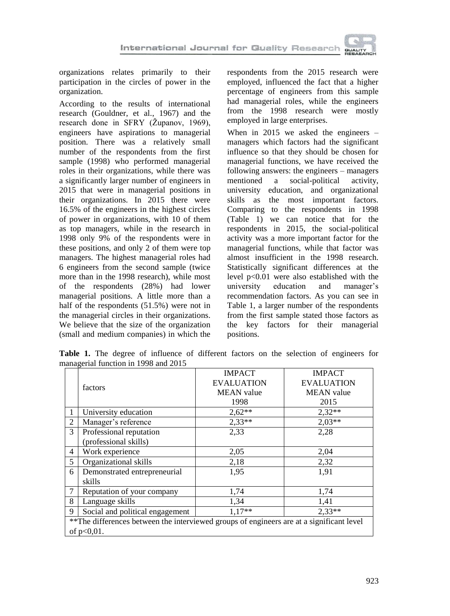organizations relates primarily to their participation in the circles of power in the organization.

According to the results of international research (Gouldner, et al., 1967) and the research done in SFRY (Županov, 1969), engineers have aspirations to managerial position. There was a relatively small number of the respondents from the first sample (1998) who performed managerial roles in their organizations, while there was a significantly larger number of engineers in 2015 that were in managerial positions in their organizations. In 2015 there were 16.5% of the engineers in the highest circles of power in organizations, with 10 of them as top managers, while in the research in 1998 only 9% of the respondents were in these positions, and only 2 of them were top managers. The highest managerial roles had 6 engineers from the second sample (twice more than in the 1998 research), while most of the respondents (28%) had lower managerial positions. A little more than a half of the respondents (51.5%) were not in the managerial circles in their organizations. We believe that the size of the organization (small and medium companies) in which the respondents from the 2015 research were employed, influenced the fact that a higher percentage of engineers from this sample had managerial roles, while the engineers from the 1998 research were mostly employed in large enterprises.

When in 2015 we asked the engineers – managers which factors had the significant influence so that they should be chosen for managerial functions, we have received the following answers: the engineers – managers mentioned a social-political activity, university education, and organizational skills as the most important factors. Comparing to the respondents in 1998 (Table 1) we can notice that for the respondents in 2015, the social-political activity was a more important factor for the managerial functions, while that factor was almost insufficient in the 1998 research. Statistically significant differences at the level p<0.01 were also established with the university education and manager's university education and manager's recommendation factors. As you can see in Table 1, a larger number of the respondents from the first sample stated those factors as the key factors for their managerial positions.

**Table 1.** The degree of influence of different factors on the selection of engineers for managerial function in 1998 and 2015

|                                                                                          |                                 | <b>IMPACT</b>     | <b>IMPACT</b>     |  |  |
|------------------------------------------------------------------------------------------|---------------------------------|-------------------|-------------------|--|--|
|                                                                                          | factors                         | <b>EVALUATION</b> | <b>EVALUATION</b> |  |  |
|                                                                                          |                                 | <b>MEAN</b> value | <b>MEAN</b> value |  |  |
|                                                                                          |                                 | 1998              | 2015              |  |  |
| 1                                                                                        | University education            | $2,62**$          | $2,32**$          |  |  |
| 2                                                                                        | Manager's reference             | $2,33**$          | $2,03**$          |  |  |
| 3                                                                                        | Professional reputation         | 2,33              | 2,28              |  |  |
|                                                                                          | (professional skills)           |                   |                   |  |  |
| 4                                                                                        | Work experience                 | 2,05              | 2,04              |  |  |
| 5                                                                                        | Organizational skills           | 2,18              | 2,32              |  |  |
| 6                                                                                        | Demonstrated entrepreneurial    | 1,95              | 1,91              |  |  |
|                                                                                          | skills                          |                   |                   |  |  |
| 7                                                                                        | Reputation of your company      | 1,74              | 1,74              |  |  |
| 8                                                                                        | Language skills                 | 1,34              | 1,41              |  |  |
| 9                                                                                        | Social and political engagement | $1,17**$          | $2.33**$          |  |  |
| **The differences between the interviewed groups of engineers are at a significant level |                                 |                   |                   |  |  |
|                                                                                          | of $p<0.01$ .                   |                   |                   |  |  |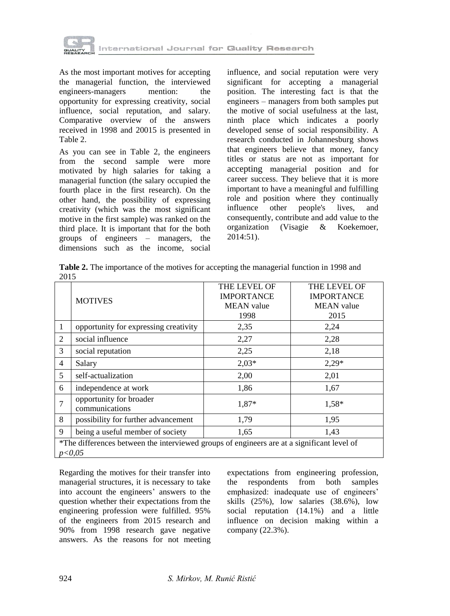

As the most important motives for accepting the managerial function, the interviewed engineers-managers mention: the opportunity for expressing creativity, social influence, social reputation, and salary. Comparative overview of the answers received in 1998 and 20015 is presented in Table 2.

As you can see in Table 2, the engineers from the second sample were more motivated by high salaries for taking a managerial function (the salary occupied the fourth place in the first research). On the other hand, the possibility of expressing creativity (which was the most significant motive in the first sample) was ranked on the third place. It is important that for the both groups of engineers – managers, the dimensions such as the income, social

influence, and social reputation were very significant for accepting a managerial position. The interesting fact is that the engineers – managers from both samples put the motive of social usefulness at the last, ninth place which indicates a poorly developed sense of social responsibility. A research conducted in Johannesburg shows that engineers believe that money, fancy titles or status are not as important for accepting managerial position and for career success. They believe that it is more important to have a meaningful and fulfilling role and position where they continually influence other people's lives, and consequently, contribute and add value to the organization (Visagie & Koekemoer, 2014:51).

**Table 2.** The importance of the motives for accepting the managerial function in 1998 and 2015

|                                                                                                      | <b>MOTIVES</b>                            | THE LEVEL OF<br><b>IMPORTANCE</b> | <b>THE LEVEL OF</b><br><b>IMPORTANCE</b> |  |
|------------------------------------------------------------------------------------------------------|-------------------------------------------|-----------------------------------|------------------------------------------|--|
|                                                                                                      |                                           | <b>MEAN</b> value                 | <b>MEAN</b> value                        |  |
|                                                                                                      |                                           | 1998                              | 2015                                     |  |
| 1                                                                                                    | opportunity for expressing creativity     | 2,35                              | 2,24                                     |  |
| 2                                                                                                    | social influence                          | 2,27                              | 2,28                                     |  |
| 3                                                                                                    | social reputation                         | 2,25                              | 2,18                                     |  |
| $\overline{4}$                                                                                       | Salary                                    | $2,03*$                           | $2,29*$                                  |  |
| 5                                                                                                    | self-actualization                        | 2,00                              | 2,01                                     |  |
| 6                                                                                                    | independence at work                      | 1,86                              | 1,67                                     |  |
| $\overline{7}$                                                                                       | opportunity for broader<br>communications | 1,87*                             | 1,58*                                    |  |
| 8                                                                                                    | possibility for further advancement       | 1,79                              | 1,95                                     |  |
| 9                                                                                                    | being a useful member of society          | 1,65                              | 1,43                                     |  |
| *The differences between the interviewed groups of engineers are at a significant level of<br>p<0.05 |                                           |                                   |                                          |  |

Regarding the motives for their transfer into managerial structures, it is necessary to take into account the engineers' answers to the question whether their expectations from the engineering profession were fulfilled. 95% of the engineers from 2015 research and 90% from 1998 research gave negative answers. As the reasons for not meeting expectations from engineering profession, the respondents from both samples emphasized: inadequate use of engineers' skills (25%), low salaries (38.6%), low social reputation (14.1%) and a little influence on decision making within a company (22.3%).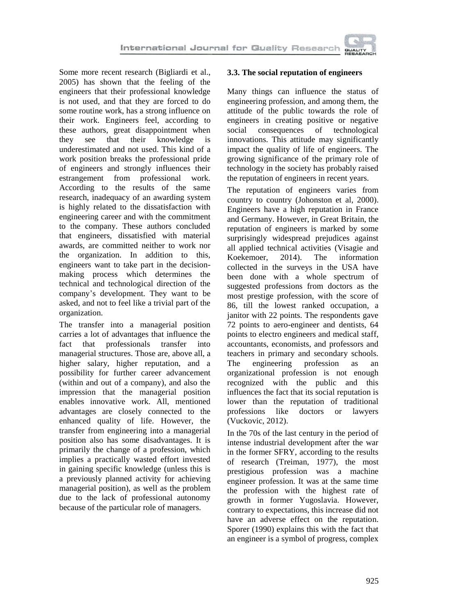

Some more recent research (Bigliardi et al., 2005) has shown that the feeling of the engineers that their professional knowledge is not used, and that they are forced to do some routine work, has a strong influence on their work. Engineers feel, according to these authors, great disappointment when they see that their knowledge is underestimated and not used. This kind of a work position breaks the professional pride of engineers and strongly influences their estrangement from professional work. According to the results of the same research, inadequacy of an awarding system is highly related to the dissatisfaction with engineering career and with the commitment to the company. These authors concluded that engineers, dissatisfied with material awards, are committed neither to work nor the organization. In addition to this, engineers want to take part in the decisionmaking process which determines the technical and technological direction of the company's development. They want to be asked, and not to feel like a trivial part of the organization.

The transfer into a managerial position carries a lot of advantages that influence the fact that professionals transfer into managerial structures. Those are, above all, a higher salary, higher reputation, and a possibility for further career advancement (within and out of a company), and also the impression that the managerial position enables innovative work. All, mentioned advantages are closely connected to the enhanced quality of life. However, the transfer from engineering into a managerial position also has some disadvantages. It is primarily the change of a profession, which implies a practically wasted effort invested in gaining specific knowledge (unless this is a previously planned activity for achieving managerial position), as well as the problem due to the lack of professional autonomy because of the particular role of managers.

### **3.3. The social reputation of engineers**

Many things can influence the status of engineering profession, and among them, the attitude of the public towards the role of engineers in creating positive or negative social consequences of technological innovations. This attitude may significantly impact the quality of life of engineers. The growing significance of the primary role of technology in the society has probably raised the reputation of engineers in recent years.

The reputation of engineers varies from country to country (Johonston et al, 2000). Engineers have a high reputation in France and Germany. However, in Great Britain, the reputation of engineers is marked by some surprisingly widespread prejudices against all applied technical activities (Visagie and Koekemoer, 2014). The information collected in the surveys in the USA have been done with a whole spectrum of suggested professions from doctors as the most prestige profession, with the score of 86, till the lowest ranked occupation, a janitor with 22 points. The respondents gave 72 points to aero-engineer and dentists, 64 points to electro engineers and medical staff, accountants, economists, and professors and teachers in primary and secondary schools. The engineering profession as an organizational profession is not enough recognized with the public and this influences the fact that its social reputation is lower than the reputation of traditional professions like doctors or lawyers (Vuckovic, 2012).

In the 70s of the last century in the period of intense industrial development after the war in the former SFRY, according to the results of research (Treiman, 1977), the most prestigious profession was a machine engineer profession. It was at the same time the profession with the highest rate of growth in former Yugoslavia. However, contrary to expectations, this increase did not have an adverse effect on the reputation. Sporer (1990) explains this with the fact that an engineer is a symbol of progress, complex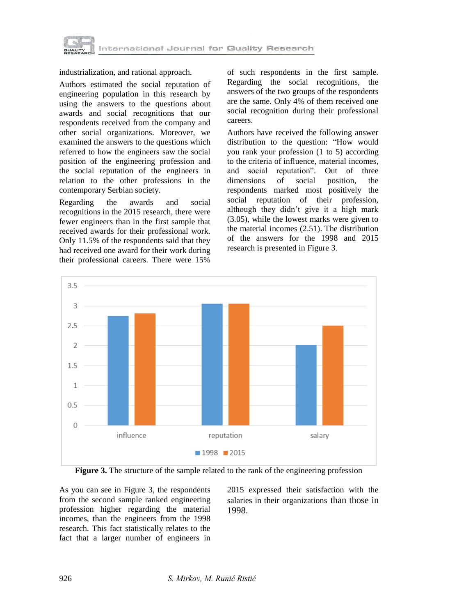

industrialization, and rational approach.

Authors estimated the social reputation of engineering population in this research by using the answers to the questions about awards and social recognitions that our respondents received from the company and other social organizations. Moreover, we examined the answers to the questions which referred to how the engineers saw the social position of the engineering profession and the social reputation of the engineers in relation to the other professions in the contemporary Serbian society.

Regarding the awards and social recognitions in the 2015 research, there were fewer engineers than in the first sample that received awards for their professional work. Only 11.5% of the respondents said that they had received one award for their work during their professional careers. There were 15%

of such respondents in the first sample. Regarding the social recognitions, the answers of the two groups of the respondents are the same. Only 4% of them received one social recognition during their professional careers.

Authors have received the following answer distribution to the question: "How would you rank your profession (1 to 5) according to the criteria of influence, material incomes, and social reputation". Out of three dimensions of social position, the respondents marked most positively the social reputation of their profession, although they didn't give it a high mark (3.05), while the lowest marks were given to the material incomes (2.51). The distribution of the answers for the 1998 and 2015 research is presented in Figure 3.



**Figure 3.** The structure of the sample related to the rank of the engineering profession

As you can see in Figure 3, the respondents from the second sample ranked engineering profession higher regarding the material incomes, than the engineers from the 1998 research. This fact statistically relates to the fact that a larger number of engineers in

2015 expressed their satisfaction with the salaries in their organizations than those in 1998.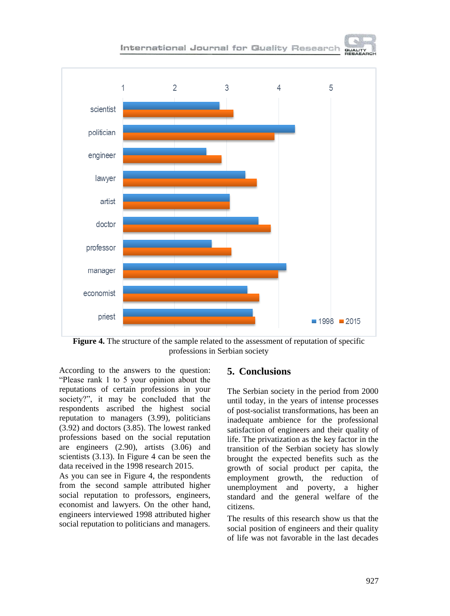

**Figure 4.** The structure of the sample related to the assessment of reputation of specific professions in Serbian society

According to the answers to the question: "Please rank 1 to 5 your opinion about the reputations of certain professions in your society?", it may be concluded that the respondents ascribed the highest social reputation to managers (3.99), politicians (3.92) and doctors (3.85). The lowest ranked professions based on the social reputation are engineers (2.90), artists (3.06) and scientists (3.13). In Figure 4 can be seen the data received in the 1998 research 2015.

As you can see in Figure 4, the respondents from the second sample attributed higher social reputation to professors, engineers, economist and lawyers. On the other hand, engineers interviewed 1998 attributed higher social reputation to politicians and managers.

### **5. Conclusions**

The Serbian society in the period from 2000 until today, in the years of intense processes of post-socialist transformations, has been an inadequate ambience for the professional satisfaction of engineers and their quality of life. The privatization as the key factor in the transition of the Serbian society has slowly brought the expected benefits such as the growth of social product per capita, the employment growth, the reduction of unemployment and poverty, a higher standard and the general welfare of the citizens.

The results of this research show us that the social position of engineers and their quality of life was not favorable in the last decades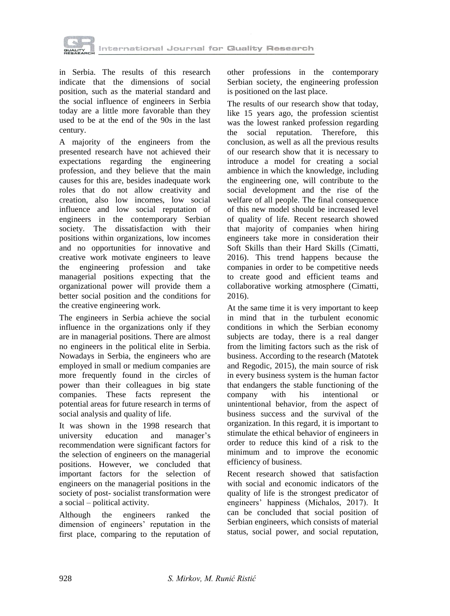

in Serbia. The results of this research indicate that the dimensions of social position, such as the material standard and the social influence of engineers in Serbia today are a little more favorable than they used to be at the end of the 90s in the last century.

A majority of the engineers from the presented research have not achieved their expectations regarding the engineering profession, and they believe that the main causes for this are, besides inadequate work roles that do not allow creativity and creation, also low incomes, low social influence and low social reputation of engineers in the contemporary Serbian society. The dissatisfaction with their positions within organizations, low incomes and no opportunities for innovative and creative work motivate engineers to leave the engineering profession and take managerial positions expecting that the organizational power will provide them a better social position and the conditions for the creative engineering work.

The engineers in Serbia achieve the social influence in the organizations only if they are in managerial positions. There are almost no engineers in the political elite in Serbia. Nowadays in Serbia, the engineers who are employed in small or medium companies are more frequently found in the circles of power than their colleagues in big state companies. These facts represent the potential areas for future research in terms of social analysis and quality of life.

It was shown in the 1998 research that university education and manager's recommendation were significant factors for the selection of engineers on the managerial positions. However, we concluded that important factors for the selection of engineers on the managerial positions in the society of post- socialist transformation were a social – political activity.

Although the engineers ranked the dimension of engineers' reputation in the first place, comparing to the reputation of other professions in the contemporary Serbian society, the engineering profession is positioned on the last place.

The results of our research show that today, like 15 years ago, the profession scientist was the lowest ranked profession regarding the social reputation. Therefore, this conclusion, as well as all the previous results of our research show that it is necessary to introduce a model for creating a social ambience in which the knowledge, including the engineering one, will contribute to the social development and the rise of the welfare of all people. The final consequence of this new model should be increased level of quality of life. Recent research showed that majority of companies when hiring engineers take more in consideration their Soft Skills than their Hard Skills (Cimatti, 2016). This trend happens because the companies in order to be competitive needs to create good and efficient teams and collaborative working atmosphere (Cimatti, 2016).

At the same time it is very important to keep in mind that in the turbulent economic conditions in which the Serbian economy subjects are today, there is a real danger from the limiting factors such as the risk of business. According to the research (Matotek and Regodic, 2015), the main source of risk in every business system is the human factor that endangers the stable functioning of the company with his intentional or unintentional behavior, from the aspect of business success and the survival of the organization. In this regard, it is important to stimulate the ethical behavior of engineers in order to reduce this kind of a risk to the minimum and to improve the economic efficiency of business.

Recent research showed that satisfaction with social and economic indicators of the quality of life is the strongest predicator of engineers' happiness (Michalos, 2017). It can be concluded that social position of Serbian engineers, which consists of material status, social power, and social reputation,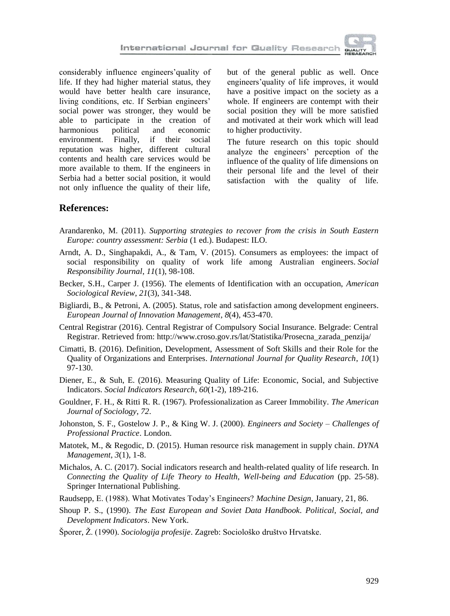considerably influence engineers'quality of life. If they had higher material status, they would have better health care insurance, living conditions, etc. If Serbian engineers' social power was stronger, they would be able to participate in the creation of harmonious political and economic environment. Finally, if their social reputation was higher, different cultural contents and health care services would be more available to them. If the engineers in Serbia had a better social position, it would not only influence the quality of their life,

but of the general public as well. Once engineers'quality of life improves, it would have a positive impact on the society as a whole. If engineers are contempt with their social position they will be more satisfied and motivated at their work which will lead to higher productivity.

The future research on this topic should analyze the engineers' perception of the influence of the quality of life dimensions on their personal life and the level of their satisfaction with the quality of life.

### **References:**

- Arandarenko, M. (2011). *Supporting strategies to recover from the crisis in South Eastern Europe: country assessment: Serbia* (1 ed.). Budapest: ILO.
- Arndt, A. D., Singhapakdi, A., & Tam, V. (2015). Consumers as employees: the impact of social responsibility on quality of work life among Australian engineers. *Social Responsibility Journal*, *11*(1), 98-108.
- Becker, S.H., Carper J. (1956). The elements of Identification with an occupation, *American Sociological Review*, *21*(3), 341-348.
- Bigliardi, B., & Petroni, A. (2005). Status, role and satisfaction among development engineers. *European Journal of Innovation Management*, *8*(4), 453-470.
- Central Registrar (2016). Central Registrar of Compulsory Social Insurance. Belgrade: Central Registrar. Retrieved from: http://www.croso.gov.rs/lat/Statistika/Prosecna\_zarada\_penzija/
- Cimatti, B. (2016). Definition, Development, Assessment of Soft Skills and their Role for the Quality of Organizations and Enterprises. *International Journal for Quality Research*, *10*(1) 97-130.
- Diener, E., & Suh, E. (2016). Measuring Quality of Life: Economic, Social, and Subjective Indicators. *Social Indicators Research*, *60*(1-2), 189-216.
- Gouldner, F. H., & Ritti R. R. (1967). Professionalization as Career Immobility. *The American Journal of Sociology*, *72*.
- Johonston, S. F., Gostelow J. P., & King W. J. (2000). *Engineers and Society – Challenges of Professional Practice*. London.
- Matotek, M., & Regodic, D. (2015). Human resource risk management in supply chain. *DYNA Management*, *3*(1), 1-8.
- Michalos, A. C. (2017). Social indicators research and health-related quality of life research. In *Connecting the Quality of Life Theory to Health, Well-being and Education* (pp. 25-58). Springer International Publishing.
- Raudsepp, E. (1988). What Motivates Today's Engineers? *Machine Design*, January, 21, 86.
- Shoup P. S., (1990). *The East European and Soviet Data Handbook. Political*, *Social, and Development Indicators*. New York.
- Šporer, Ž. (1990). *Sociologija profesije*. Zagreb: Sociološko društvo Hrvatske.